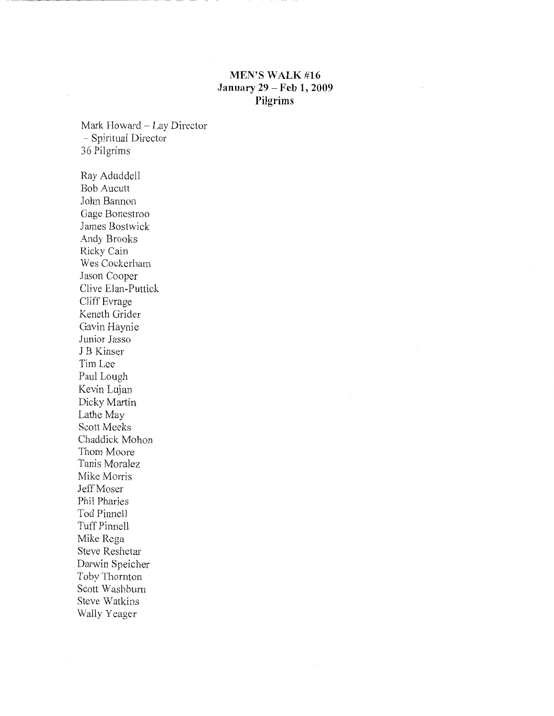## **MEN'S WALK#16 January 29- Feb 1, 2009 Pilgrims**

Mark Howard - Lay Director - Spiritual Director 36 Pilgrims

÷

Ray Aduddell Bob Aucutt John Bannon Gage Bonestroo James Bostwick Andy Brooks Ricky Cain Wes Cockerham Jason Cooper Clive Elan-Puttick Cliff Evrage Keneth Grider Gavin Haynie Junior Jasso J B Kinser Tim Lee Paul Lough Kevin Lujan Dicky Martin Lathe May Scott Meeks Chaddick Mohon Thom Moore Tanis Moralez Mike Morris Jeff Moser Phil Pharies Tod Pinnell Tuff Pinnell Mike Rega Steve Reshetar Darwin Speicher Toby Thornton Scott Washburn Steve Watkins Wally Yeager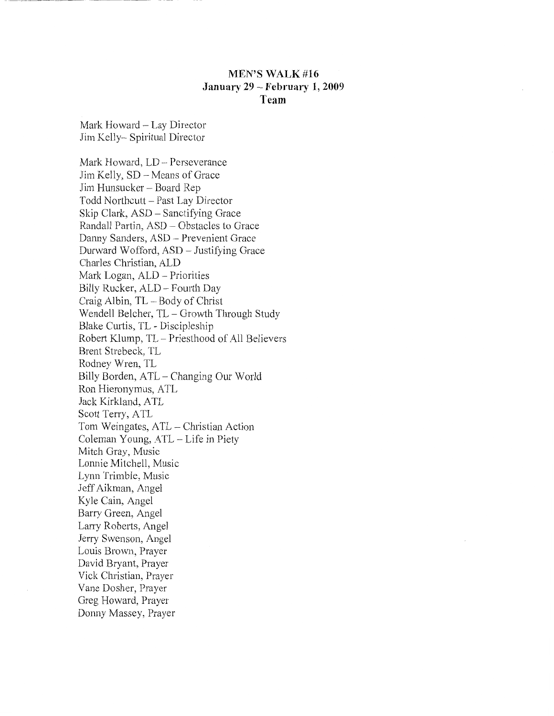## **MEN'S WALK #16 January 29- February 1, 2009 Team**

Mark Howard - Lay Director Jim Kelly- Spiritual Director

Mark Howard, LD- Perseverance Jim Kelly, SD- Means of Grace Jim Hunsucker- Board Rep Todd Northcutt- Past Lay Director Skip Clark, ASD - Sanctifying Grace Randall Partin, ASD- Obstacles to Grace Danny Sanders, ASD - Prevenient Grace Durward Wofford, ASD- Justifying Grace Charles Christian, ALD Mark Logan, ALD- Priorities Billy Rucker, ALD- Fourth Day Craig Albin, TL- Body of Christ Wendell Belcher, TL - Growth Through Study Blake Curtis, TL - Discipleship Robert Klump, TL- Priesthood of All Believers Brent Strebeck, TL Rodney Wren, TL Billy Borden, ATL- Changing Our World Ron Hieronymus, A TL Jack Kirkland, ATL Scott Terry, ATL Tom Weingates, AIL- Christian Action Coleman Young, ATL- Life in Piety Mitch Gray, Music Lonnie Mitchell, Music Lynn Trimble, Music Jeff Aikman, Angel Kyle Cain, Angel Barry Green, Angel Larry Roberts, Angel Jerry Swenson, Angel Louis Brown, Prayer David Bryant, Prayer Vick Christian, Prayer Vane Dosher, Prayer Greg Howard, Prayer Donny Massey, Prayer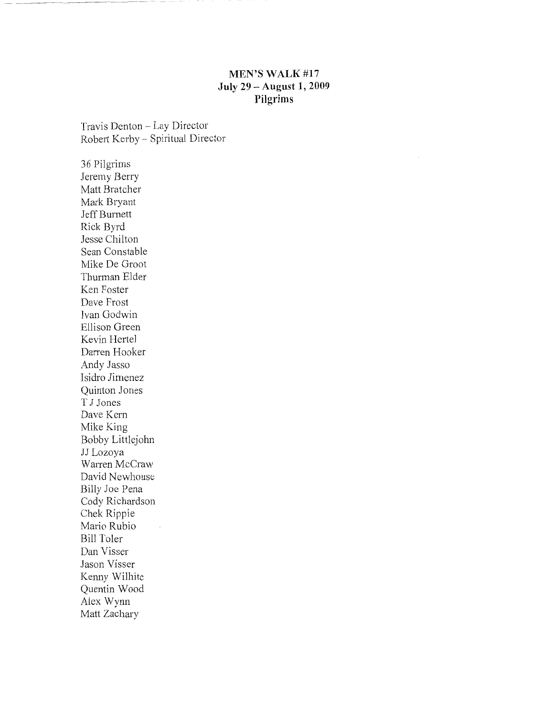## **MEN'S WALK#17 July 29 -August 1, 2009 Pilgrims**

Travis Denton- Lay Director Robert Kerby - Spiritual Director

36 Pilgrims Jeremy Berry Matt Bratcher Mark Bryant Jeff Burnett Rick Byrd Jesse Chilton Sean Constable Mike De Groot Thurman Elder Ken Foster Dave Frost Ivan Godwin Ellison Green Kevin Hertel Darren Hooker Andy Jasso Isidro Jimenez Quinton Jones T J Jones Dave Kern Mike King Bobby Littlejohn JJ Lozoya Warren McCraw David Newhouse Billy Joe Pena Cody Richardson Chek Rippie Mario Rubio Bill Toler Dan Visser Jason Visser Kenny Wilhite Quentin Wood Alex Wynn Matt Zachary